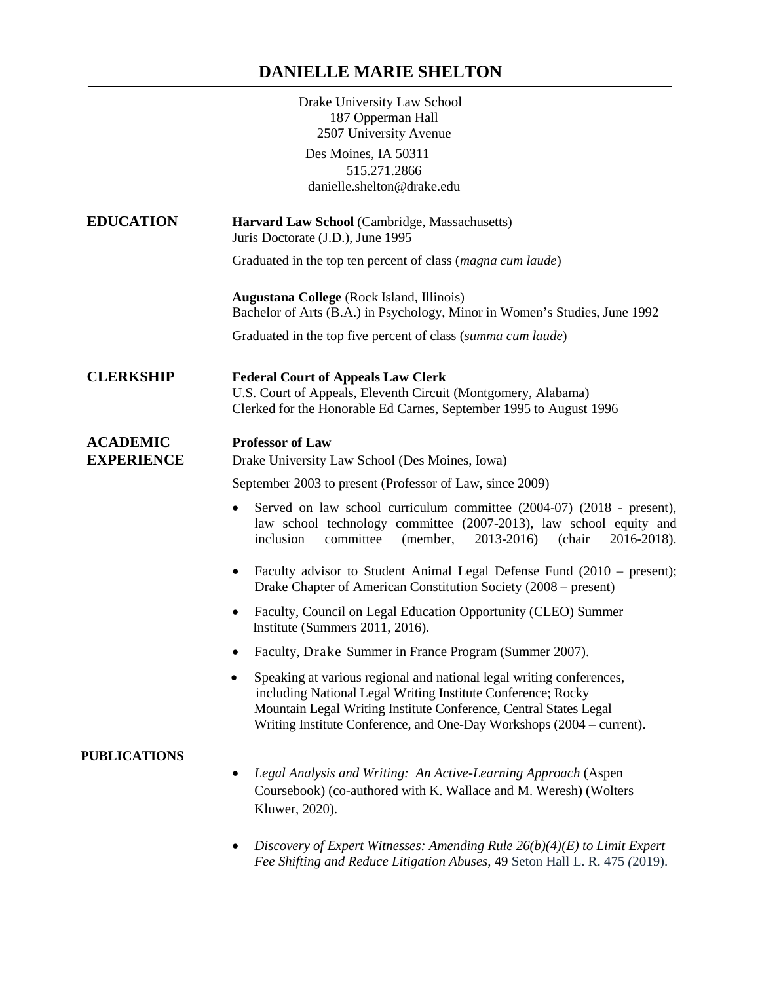## **DANIELLE MARIE SHELTON**

|                                      | Drake University Law School<br>187 Opperman Hall<br>2507 University Avenue<br>Des Moines, IA 50311                                                                                                                                                                                              |
|--------------------------------------|-------------------------------------------------------------------------------------------------------------------------------------------------------------------------------------------------------------------------------------------------------------------------------------------------|
|                                      | 515.271.2866<br>danielle.shelton@drake.edu                                                                                                                                                                                                                                                      |
| <b>EDUCATION</b>                     | Harvard Law School (Cambridge, Massachusetts)<br>Juris Doctorate (J.D.), June 1995                                                                                                                                                                                                              |
|                                      | Graduated in the top ten percent of class (magna cum laude)                                                                                                                                                                                                                                     |
|                                      | <b>Augustana College</b> (Rock Island, Illinois)<br>Bachelor of Arts (B.A.) in Psychology, Minor in Women's Studies, June 1992                                                                                                                                                                  |
|                                      | Graduated in the top five percent of class (summa cum laude)                                                                                                                                                                                                                                    |
| <b>CLERKSHIP</b>                     | <b>Federal Court of Appeals Law Clerk</b><br>U.S. Court of Appeals, Eleventh Circuit (Montgomery, Alabama)<br>Clerked for the Honorable Ed Carnes, September 1995 to August 1996                                                                                                                |
| <b>ACADEMIC</b><br><b>EXPERIENCE</b> | <b>Professor of Law</b><br>Drake University Law School (Des Moines, Iowa)                                                                                                                                                                                                                       |
|                                      | September 2003 to present (Professor of Law, since 2009)                                                                                                                                                                                                                                        |
|                                      | Served on law school curriculum committee (2004-07) (2018 - present),<br>law school technology committee (2007-2013), law school equity and<br>inclusion<br>2013-2016)<br>committee<br>(member,<br>(chair<br>2016-2018).                                                                        |
|                                      | Faculty advisor to Student Animal Legal Defense Fund (2010 – present);<br>Drake Chapter of American Constitution Society (2008 – present)                                                                                                                                                       |
|                                      | Faculty, Council on Legal Education Opportunity (CLEO) Summer<br>Institute (Summers 2011, 2016).                                                                                                                                                                                                |
|                                      | Faculty, Drake Summer in France Program (Summer 2007).                                                                                                                                                                                                                                          |
|                                      | Speaking at various regional and national legal writing conferences,<br>$\bullet$<br>including National Legal Writing Institute Conference; Rocky<br>Mountain Legal Writing Institute Conference, Central States Legal<br>Writing Institute Conference, and One-Day Workshops (2004 – current). |
| <b>PUBLICATIONS</b>                  | Legal Analysis and Writing: An Active-Learning Approach (Aspen<br>Coursebook) (co-authored with K. Wallace and M. Weresh) (Wolters<br>Kluwer, 2020).                                                                                                                                            |
|                                      | Discovery of Expert Witnesses: Amending Rule $26(b)(4)(E)$ to Limit Expert<br>Fee Shifting and Reduce Litigation Abuses, 49 Seton Hall L. R. 475 (2019).                                                                                                                                        |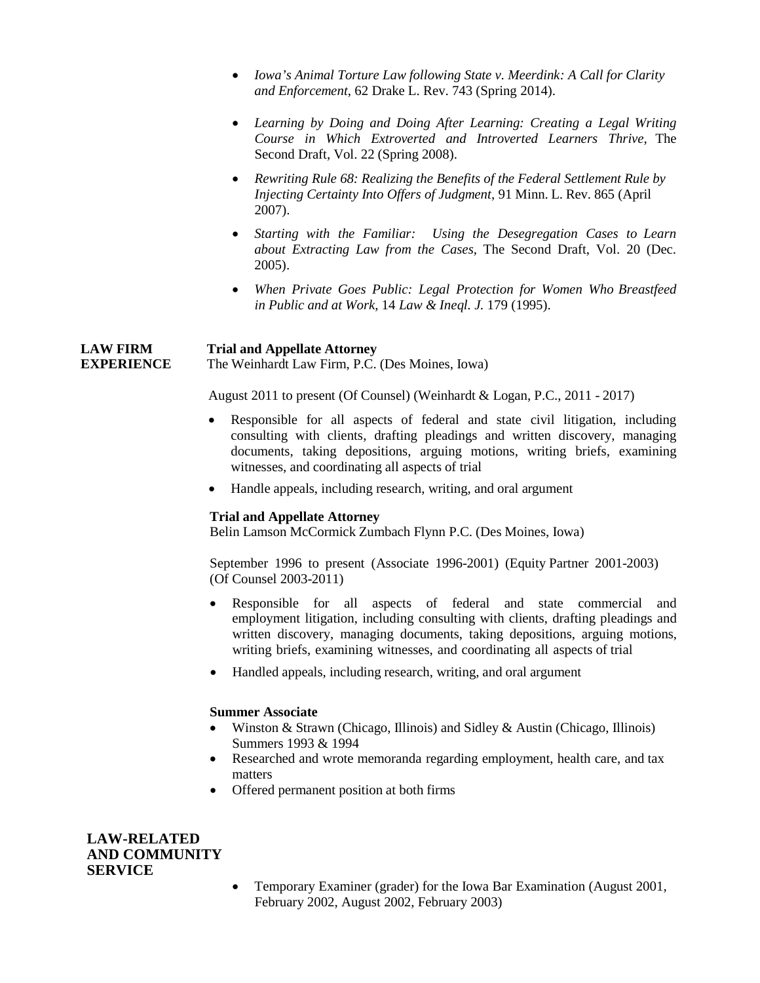- *Iowa's Animal Torture Law following State v. Meerdink: A Call for Clarity and Enforcement*, 62 Drake L. Rev. 743 (Spring 2014).
- *Learning by Doing and Doing After Learning: Creating a Legal Writing Course in Which Extroverted and Introverted Learners Thrive*, The Second Draft, Vol. 22 (Spring 2008).
- *Rewriting Rule 68: Realizing the Benefits of the Federal Settlement Rule by Injecting Certainty Into Offers of Judgment*, 91 Minn. L. Rev. 865 (April 2007).
- *Starting with the Familiar: Using the Desegregation Cases to Learn about Extracting Law from the Cases*, The Second Draft, Vol. 20 (Dec. 2005).
- *When Private Goes Public: Legal Protection for Women Who Breastfeed in Public and at Work*, 14 *Law & Ineql. J.* 179 (1995).

**LAW FIRM Trial and Appellate Attorney EXPERIENCE** The Weinhardt Law Firm, P.C. (Des Moines, Iowa)

August 2011 to present (Of Counsel) (Weinhardt & Logan, P.C., 2011 - 2017)

- Responsible for all aspects of federal and state civil litigation, including consulting with clients, drafting pleadings and written discovery, managing documents, taking depositions, arguing motions, writing briefs, examining witnesses, and coordinating all aspects of trial
- Handle appeals, including research, writing, and oral argument

## **Trial and Appellate Attorney**

Belin Lamson McCormick Zumbach Flynn P.C. (Des Moines, Iowa)

September 1996 to present (Associate 1996-2001) (Equity Partner 2001-2003) (Of Counsel 2003-2011)

- Responsible for all aspects of federal and state commercial and employment litigation, including consulting with clients, drafting pleadings and written discovery, managing documents, taking depositions, arguing motions, writing briefs, examining witnesses, and coordinating all aspects of trial
- Handled appeals, including research, writing, and oral argument

## **Summer Associate**

- Winston & Strawn (Chicago, Illinois) and Sidley & Austin (Chicago, Illinois) Summers 1993 & 1994
- Researched and wrote memoranda regarding employment, health care, and tax matters
- Offered permanent position at both firms

**LAW-RELATED AND COMMUNITY SERVICE**

> • Temporary Examiner (grader) for the Iowa Bar Examination (August 2001, February 2002, August 2002, February 2003)